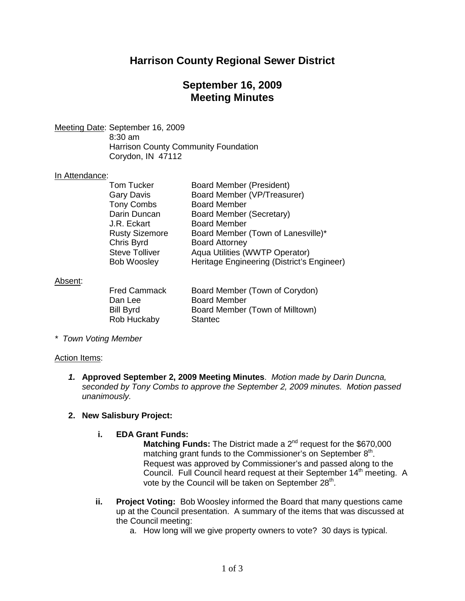# **Harrison County Regional Sewer District**

## **September 16, 2009 Meeting Minutes**

Meeting Date : September 16, 2009 8:30 am Harrison County Community Foundation Corydon, IN 47112

### In Attendance:

| <b>Tom Tucker</b>     | <b>Board Member (President)</b>            |
|-----------------------|--------------------------------------------|
| Gary Davis            | Board Member (VP/Treasurer)                |
| <b>Tony Combs</b>     | <b>Board Member</b>                        |
| Darin Duncan          | Board Member (Secretary)                   |
| J.R. Eckart           | <b>Board Member</b>                        |
| <b>Rusty Sizemore</b> | Board Member (Town of Lanesville)*         |
| Chris Byrd            | <b>Board Attorney</b>                      |
| <b>Steve Tolliver</b> | Aqua Utilities (WWTP Operator)             |
| <b>Bob Woosley</b>    | Heritage Engineering (District's Engineer) |
|                       |                                            |

### Absent :

| <b>Fred Cammack</b> | Board Member (Town of Corydon)  |
|---------------------|---------------------------------|
| Dan Lee             | <b>Board Member</b>             |
| <b>Bill Byrd</b>    | Board Member (Town of Milltown) |
| Rob Huckaby         | <b>Stantec</b>                  |

*\* Town Voting Member*

#### Action Items:

*1.* **Approved September 2, 2009 Meeting Minutes**. *Motion made by Darin Duncna, seconded by Tony Combs to approve the September 2, 2009 minutes. Motion passed unanimously.*

### **2. New Salisbury Project:**

#### **i. EDA Grant Funds:**

**Matching Funds:** The District made a 2<sup>nd</sup> request for the \$670,000 matching grant funds to the Commissioner's on September  $8<sup>th</sup>$ . Request was approved by Commissioner's and passed along to the Council. Full Council heard request at their September 14<sup>th</sup> meeting. A vote by the Council will be taken on September  $28<sup>th</sup>$ .

- **ii. Project Voting:** Bob Woosley informed the Board that many questions came up at the Council presentation. A summary of the items that was discussed at the Council meeting:
	- a. How long will we give property owners to vote? 30 days is typical.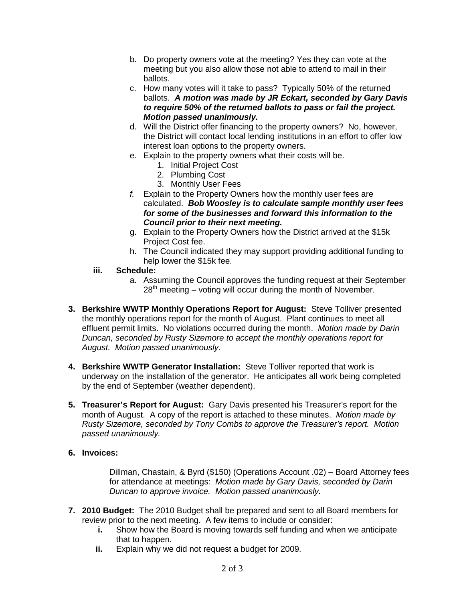- b. Do property owners vote at the meeting? Yes they can vote at the meeting but you also allow those not able to attend to mail in their ballots.
- c. How many votes will it take to pass? Typically 50% of the returned ballots. *A motion was made by JR Eckart, seconded by Gary Davis to require 50% of the returned ballots to pass or fail the project. Motion passed unanimously.*
- d. Will the District offer financing to the property owners? No, however, the District will contact local lending institutions in an effort to offer low interest loan options to the property owners.
- e. Explain to the property owners what their costs will be.
	- 1. Initial Project Cost
	- 2. Plumbing Cost
	- 3. Monthly User Fees
- *f.* Explain to the Property Owners how the monthly user fees are calculated. *Bob Woosley is to calculate sample monthly user fees for some of the businesses and forward this information to the Council prior to their next meeting.*
- g. Explain to the Property Owners how the District arrived at the \$15k Project Cost fee.
- h. The Council indicated they may support providing additional funding to help lower the \$15k fee.
- **iii. Schedule:**
	- a. Assuming the Council approves the funding request at their September  $28<sup>th</sup>$  meeting – voting will occur during the month of November.
- **3. Berkshire WWTP Monthly Operations Report for August:** Steve Tolliver presented the monthly operations report for the month of August. Plant continues to meet all effluent permit limits. No violations occurred during the month. *Motion made by Darin Duncan, seconded by Rusty Sizemore to accept the monthly operations report for August. Motion passed unanimously.*
- **4. Berkshire WWTP Generator Installation:** Steve Tolliver reported that work is underway on the installation of the generator. He anticipates all work being completed by the end of September (weather dependent).
- **5. Treasurer's Report for August:** Gary Davis presented his Treasurer's report for the month of August. A copy of the report is attached to these minutes. *Motion made by Rusty Sizemore, seconded by Tony Combs to approve the Treasurer's report. Motion passed unanimously.*
- **6. Invoices:**

Dillman, Chastain, & Byrd (\$150) (Operations Account .02) – Board Attorney fees for attendance at meetings: *Motion made by Gary Davis, seconded by Darin Duncan to approve invoice. Motion passed unanimously.*

- **7. 2010 Budget:** The 2010 Budget shall be prepared and sent to all Board members for review prior to the next meeting. A few items to include or consider:
	- **i.** Show how the Board is moving towards self funding and when we anticipate that to happen.
	- **ii.** Explain why we did not request a budget for 2009.